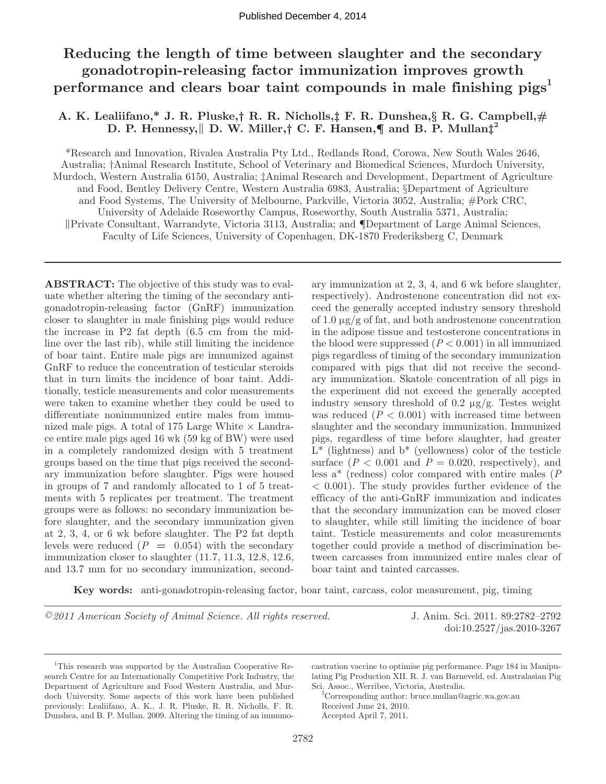# **Reducing the length of time between slaughter and the secondary gonadotropin-releasing factor immunization improves growth performance and clears boar taint compounds in male finishing pigs<sup>1</sup>**

## **A. K. Lealiifano,\* J. R. Pluske,† R. R. Nicholls,‡ F. R. Dunshea,§ R. G. Campbell,# D. P. Hennessy,**‖ **D. W. Miller,† C. F. Hansen,¶ and B. P. Mullan‡2**

\*Research and Innovation, Rivalea Australia Pty Ltd., Redlands Road, Corowa, New South Wales 2646, Australia; †Animal Research Institute, School of Veterinary and Biomedical Sciences, Murdoch University, Murdoch, Western Australia 6150, Australia; ‡Animal Research and Development, Department of Agriculture and Food, Bentley Delivery Centre, Western Australia 6983, Australia; §Department of Agriculture and Food Systems, The University of Melbourne, Parkville, Victoria 3052, Australia; #Pork CRC, University of Adelaide Roseworthy Campus, Roseworthy, South Australia 5371, Australia; ‖Private Consultant, Warrandyte, Victoria 3113, Australia; and ¶Department of Large Animal Sciences, Faculty of Life Sciences, University of Copenhagen, DK-1870 Frederiksberg C, Denmark

**ABSTRACT:** The objective of this study was to evaluate whether altering the timing of the secondary antigonadotropin-releasing factor (GnRF) immunization closer to slaughter in male finishing pigs would reduce the increase in P2 fat depth (6.5 cm from the midline over the last rib), while still limiting the incidence of boar taint. Entire male pigs are immunized against GnRF to reduce the concentration of testicular steroids that in turn limits the incidence of boar taint. Additionally, testicle measurements and color measurements were taken to examine whether they could be used to differentiate nonimmunized entire males from immunized male pigs. A total of 175 Large White  $\times$  Landrace entire male pigs aged 16 wk (59 kg of BW) were used in a completely randomized design with 5 treatment groups based on the time that pigs received the secondary immunization before slaughter. Pigs were housed in groups of 7 and randomly allocated to 1 of 5 treatments with 5 replicates per treatment. The treatment groups were as follows: no secondary immunization before slaughter, and the secondary immunization given at 2, 3, 4, or 6 wk before slaughter. The P2 fat depth levels were reduced  $(P = 0.054)$  with the secondary immunization closer to slaughter (11.7, 11.3, 12.8, 12.6, and 13.7 mm for no secondary immunization, secondary immunization at 2, 3, 4, and 6 wk before slaughter, respectively). Androstenone concentration did not exceed the generally accepted industry sensory threshold of 1.0  $\mu$ g/g of fat, and both androstenone concentration in the adipose tissue and testosterone concentrations in the blood were suppressed  $(P < 0.001)$  in all immunized pigs regardless of timing of the secondary immunization compared with pigs that did not receive the secondary immunization. Skatole concentration of all pigs in the experiment did not exceed the generally accepted industry sensory threshold of 0.2  $\mu$ g/g. Testes weight was reduced  $(P < 0.001)$  with increased time between slaughter and the secondary immunization. Immunized pigs, regardless of time before slaughter, had greater  $L^*$  (lightness) and  $b^*$  (yellowness) color of the testicle surface  $(P < 0.001$  and  $P = 0.020$ , respectively), and less a\* (redness) color compared with entire males (*P*  $< 0.001$ ). The study provides further evidence of the efficacy of the anti-GnRF immunization and indicates that the secondary immunization can be moved closer to slaughter, while still limiting the incidence of boar taint. Testicle measurements and color measurements together could provide a method of discrimination between carcasses from immunized entire males clear of boar taint and tainted carcasses.

**Key words:** anti-gonadotropin-releasing factor, boar taint, carcass, color measurement, pig, timing

*©2011 American Society of Animal Science. All rights reserved.* J. Anim. Sci. 2011. 89:2782–2792

doi:10.2527/jas.2010-3267

castration vaccine to optimise pig performance. Page 184 in Manipulating Pig Production XII. R. J. van Barneveld, ed. Australasian Pig Sci. Assoc., Werribee, Victoria, Australia.

2 Corresponding author: bruce.mullan@agric.wa.gov.au Received June 24, 2010. Accepted April 7, 2011.

<sup>&</sup>lt;sup>1</sup>This research was supported by the Australian Cooperative Research Centre for an Internationally Competitive Pork Industry, the Department of Agriculture and Food Western Australia, and Murdoch University. Some aspects of this work have been published previously: Lealiifano, A. K., J. R. Pluske, R. R. Nicholls, F. R. Dunshea, and B. P. Mullan. 2009. Altering the timing of an immuno-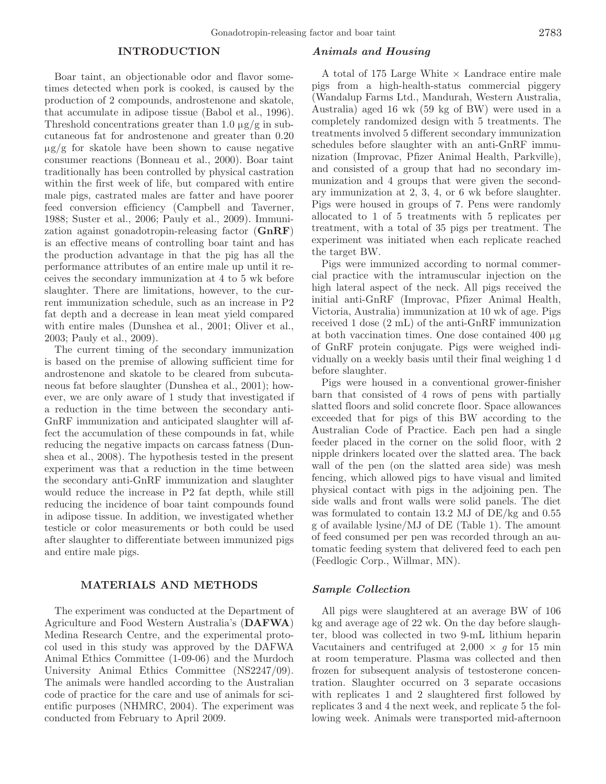#### **INTRODUCTION**

Boar taint, an objectionable odor and flavor sometimes detected when pork is cooked, is caused by the production of 2 compounds, androstenone and skatole, that accumulate in adipose tissue (Babol et al., 1996). Threshold concentrations greater than 1.0  $\mu$ g/g in subcutaneous fat for androstenone and greater than 0.20  $\mu$ g/g for skatole have been shown to cause negative consumer reactions (Bonneau et al., 2000). Boar taint traditionally has been controlled by physical castration within the first week of life, but compared with entire male pigs, castrated males are fatter and have poorer feed conversion efficiency (Campbell and Taverner, 1988; Suster et al., 2006; Pauly et al., 2009). Immunization against gonadotropin-releasing factor (**GnRF**) is an effective means of controlling boar taint and has the production advantage in that the pig has all the performance attributes of an entire male up until it receives the secondary immunization at 4 to 5 wk before slaughter. There are limitations, however, to the current immunization schedule, such as an increase in P2 fat depth and a decrease in lean meat yield compared with entire males (Dunshea et al., 2001; Oliver et al., 2003; Pauly et al., 2009).

The current timing of the secondary immunization is based on the premise of allowing sufficient time for androstenone and skatole to be cleared from subcutaneous fat before slaughter (Dunshea et al., 2001); however, we are only aware of 1 study that investigated if a reduction in the time between the secondary anti-GnRF immunization and anticipated slaughter will affect the accumulation of these compounds in fat, while reducing the negative impacts on carcass fatness (Dunshea et al., 2008). The hypothesis tested in the present experiment was that a reduction in the time between the secondary anti-GnRF immunization and slaughter would reduce the increase in P2 fat depth, while still reducing the incidence of boar taint compounds found in adipose tissue. In addition, we investigated whether testicle or color measurements or both could be used after slaughter to differentiate between immunized pigs and entire male pigs.

## **MATERIALS AND METHODS**

The experiment was conducted at the Department of Agriculture and Food Western Australia's (**DAFWA**) Medina Research Centre, and the experimental protocol used in this study was approved by the DAFWA Animal Ethics Committee (1-09-06) and the Murdoch University Animal Ethics Committee (NS2247/09). The animals were handled according to the Australian code of practice for the care and use of animals for scientific purposes (NHMRC, 2004). The experiment was conducted from February to April 2009.

#### *Animals and Housing*

A total of 175 Large White  $\times$  Landrace entire male pigs from a high-health-status commercial piggery (Wandalup Farms Ltd., Mandurah, Western Australia, Australia) aged 16 wk (59 kg of BW) were used in a completely randomized design with 5 treatments. The treatments involved 5 different secondary immunization schedules before slaughter with an anti-GnRF immunization (Improvac, Pfizer Animal Health, Parkville), and consisted of a group that had no secondary immunization and 4 groups that were given the secondary immunization at 2, 3, 4, or 6 wk before slaughter. Pigs were housed in groups of 7. Pens were randomly allocated to 1 of 5 treatments with 5 replicates per treatment, with a total of 35 pigs per treatment. The experiment was initiated when each replicate reached the target BW.

Pigs were immunized according to normal commercial practice with the intramuscular injection on the high lateral aspect of the neck. All pigs received the initial anti-GnRF (Improvac, Pfizer Animal Health, Victoria, Australia) immunization at 10 wk of age. Pigs received 1 dose (2 mL) of the anti-GnRF immunization at both vaccination times. One dose contained 400 µg of GnRF protein conjugate. Pigs were weighed individually on a weekly basis until their final weighing 1 d before slaughter.

Pigs were housed in a conventional grower-finisher barn that consisted of 4 rows of pens with partially slatted floors and solid concrete floor. Space allowances exceeded that for pigs of this BW according to the Australian Code of Practice. Each pen had a single feeder placed in the corner on the solid floor, with 2 nipple drinkers located over the slatted area. The back wall of the pen (on the slatted area side) was mesh fencing, which allowed pigs to have visual and limited physical contact with pigs in the adjoining pen. The side walls and front walls were solid panels. The diet was formulated to contain 13.2 MJ of DE/kg and 0.55 g of available lysine/MJ of DE (Table 1). The amount of feed consumed per pen was recorded through an automatic feeding system that delivered feed to each pen (Feedlogic Corp., Willmar, MN).

#### *Sample Collection*

All pigs were slaughtered at an average BW of 106 kg and average age of 22 wk. On the day before slaughter, blood was collected in two 9-mL lithium heparin Vacutainers and centrifuged at  $2,000 \times g$  for 15 min at room temperature. Plasma was collected and then frozen for subsequent analysis of testosterone concentration. Slaughter occurred on 3 separate occasions with replicates 1 and 2 slaughtered first followed by replicates 3 and 4 the next week, and replicate 5 the following week. Animals were transported mid-afternoon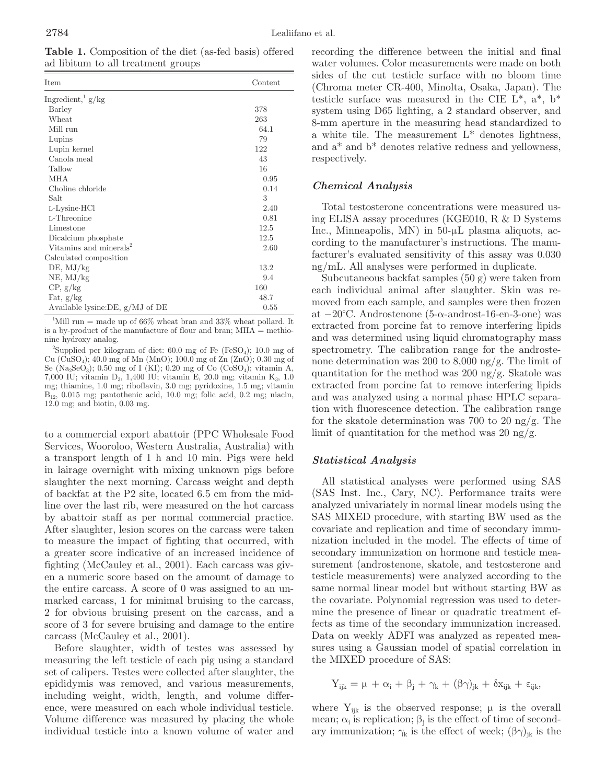**Table 1.** Composition of the diet (as-fed basis) offered ad libitum to all treatment groups

| Item                               | Content |
|------------------------------------|---------|
| Ingredient, $\frac{1}{g}$ g/kg     |         |
| Barley                             | 378     |
| Wheat                              | 263     |
| Mill run                           | 64.1    |
| Lupins                             | 79      |
| Lupin kernel                       | 122     |
| Canola meal                        | 43      |
| Tallow                             | 16      |
| MHA                                | 0.95    |
| Choline chloride                   | 0.14    |
| Salt                               | 3       |
| L-Lysine HCl                       | 2.40    |
| L-Threonine                        | 0.81    |
| Limestone                          | 12.5    |
| Dicalcium phosphate                | 12.5    |
| Vitamins and minerals <sup>2</sup> | 2.60    |
| Calculated composition             |         |
| $DE$ , $MJ/kg$                     | 13.2    |
| $NE$ , $MJ/kg$                     | 9.4     |
| CP, g/kg                           | 160     |
| Fat, $g/kg$                        | 48.7    |
| Available lysine: DE, $g/MJ$ of DE | 0.55    |

<sup>1</sup>Mill run = made up of 66% wheat bran and 33% wheat pollard. It is a by-product of the manufacture of flour and bran; MHA = methionine hydroxy analog.

<sup>2</sup>Supplied per kilogram of diet:  $60.0$  mg of Fe (FeSO<sub>4</sub>);  $10.0$  mg of Cu (CuSO4); 40.0 mg of Mn (MnO); 100.0 mg of Zn (ZnO); 0.30 mg of Se (Na<sub>2</sub>SeO<sub>3</sub>); 0.50 mg of I (KI); 0.20 mg of Co (CoSO<sub>4</sub>); vitamin A, 7,000 IU; vitamin D3, 1,400 IU; vitamin E, 20.0 mg; vitamin K3, 1.0 mg; thiamine, 1.0 mg; riboflavin, 3.0 mg; pyridoxine, 1.5 mg; vitamin  $B_{12}$ , 0.015 mg; pantothenic acid, 10.0 mg; folic acid, 0.2 mg; niacin, 12.0 mg; and biotin, 0.03 mg.

to a commercial export abattoir (PPC Wholesale Food Services, Wooroloo, Western Australia, Australia) with a transport length of 1 h and 10 min. Pigs were held in lairage overnight with mixing unknown pigs before slaughter the next morning. Carcass weight and depth of backfat at the P2 site, located 6.5 cm from the midline over the last rib, were measured on the hot carcass by abattoir staff as per normal commercial practice. After slaughter, lesion scores on the carcass were taken to measure the impact of fighting that occurred, with a greater score indicative of an increased incidence of fighting (McCauley et al., 2001). Each carcass was given a numeric score based on the amount of damage to the entire carcass. A score of 0 was assigned to an unmarked carcass, 1 for minimal bruising to the carcass, 2 for obvious bruising present on the carcass, and a score of 3 for severe bruising and damage to the entire carcass (McCauley et al., 2001).

Before slaughter, width of testes was assessed by measuring the left testicle of each pig using a standard set of calipers. Testes were collected after slaughter, the epididymis was removed, and various measurements, including weight, width, length, and volume difference, were measured on each whole individual testicle. Volume difference was measured by placing the whole individual testicle into a known volume of water and recording the difference between the initial and final water volumes. Color measurements were made on both sides of the cut testicle surface with no bloom time (Chroma meter CR-400, Minolta, Osaka, Japan). The testicle surface was measured in the CIE  $L^*$ ,  $a^*$ ,  $b^*$ system using D65 lighting, a 2 standard observer, and 8-mm aperture in the measuring head standardized to a white tile. The measurement  $L^*$  denotes lightness, and a\* and b\* denotes relative redness and yellowness, respectively.

## *Chemical Analysis*

Total testosterone concentrations were measured using ELISA assay procedures (KGE010, R & D Systems Inc., Minneapolis, MN) in 50-µL plasma aliquots, according to the manufacturer's instructions. The manufacturer's evaluated sensitivity of this assay was 0.030 ng/mL. All analyses were performed in duplicate.

Subcutaneous backfat samples (50 g) were taken from each individual animal after slaughter. Skin was removed from each sample, and samples were then frozen at −20°C. Androstenone (5-α-androst-16-en-3-one) was extracted from porcine fat to remove interfering lipids and was determined using liquid chromatography mass spectrometry. The calibration range for the androstenone determination was 200 to 8,000 ng/g. The limit of quantitation for the method was 200 ng/g. Skatole was extracted from porcine fat to remove interfering lipids and was analyzed using a normal phase HPLC separation with fluorescence detection. The calibration range for the skatole determination was 700 to 20 ng/g. The limit of quantitation for the method was 20 ng/g.

## *Statistical Analysis*

All statistical analyses were performed using SAS (SAS Inst. Inc., Cary, NC). Performance traits were analyzed univariately in normal linear models using the SAS MIXED procedure, with starting BW used as the covariate and replication and time of secondary immunization included in the model. The effects of time of secondary immunization on hormone and testicle measurement (androstenone, skatole, and testosterone and testicle measurements) were analyzed according to the same normal linear model but without starting BW as the covariate. Polynomial regression was used to determine the presence of linear or quadratic treatment effects as time of the secondary immunization increased. Data on weekly ADFI was analyzed as repeated measures using a Gaussian model of spatial correlation in the MIXED procedure of SAS:

$$
Y_{ijk} = \mu + \alpha_i + \beta_j + \gamma_k + (\beta \gamma)_{jk} + \delta x_{ijk} + \epsilon_{ijk},
$$

where  $Y_{ijk}$  is the observed response;  $\mu$  is the overall mean;  $\alpha_i$  is replication;  $\beta_i$  is the effect of time of secondary immunization;  $\gamma_k$  is the effect of week;  $(\beta \gamma)_{ik}$  is the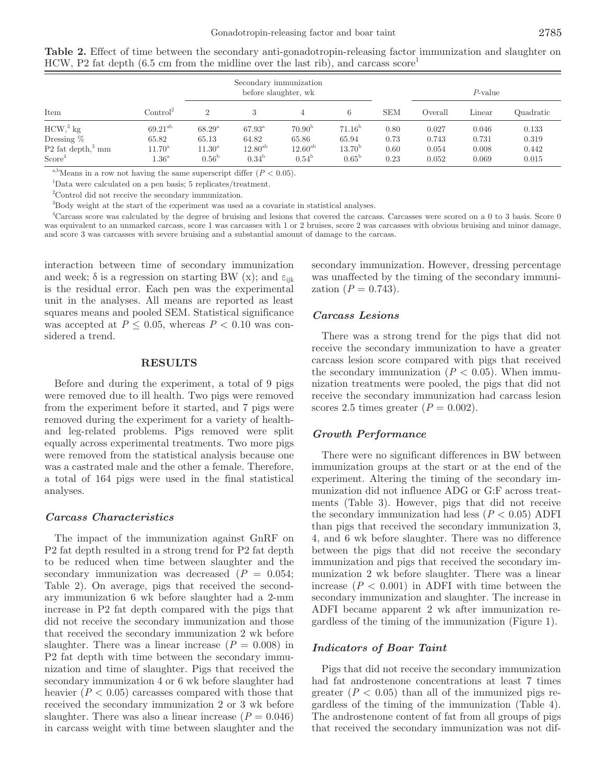|                                                                                     |                                                                 |                                                                  | Secondary immunization<br>before slaughter, wk             |                                                               |                                                                  |                              | $P$ -value                       |                                  |                                  |
|-------------------------------------------------------------------------------------|-----------------------------------------------------------------|------------------------------------------------------------------|------------------------------------------------------------|---------------------------------------------------------------|------------------------------------------------------------------|------------------------------|----------------------------------|----------------------------------|----------------------------------|
| Item                                                                                | Control <sup>2</sup>                                            |                                                                  |                                                            |                                                               | 6                                                                | <b>SEM</b>                   | Overall                          | Linear                           | Quadratic                        |
| $HCW3$ kg<br>Dressing $\%$<br>$P2$ fat depth, <sup>3</sup> mm<br>Score <sup>4</sup> | $69.21^{ab}$<br>65.82<br>$11.70^{\rm a}$<br>$1.36^{\mathrm{a}}$ | $68.29^{\rm a}$<br>65.13<br>$11.30^{\rm a}$<br>0.56 <sup>b</sup> | $67.93^{\rm a}$<br>64.82<br>$12.80^{ab}$<br>$0.34^{\rm b}$ | 70.90 <sup>b</sup><br>65.86<br>$12.60^{ab}$<br>$0.54^{\rm b}$ | 71.16 <sup>b</sup><br>65.94<br>$13.70^{\rm b}$<br>$0.65^{\circ}$ | 0.80<br>0.73<br>0.60<br>0.23 | 0.027<br>0.743<br>0.054<br>0.052 | 0.046<br>0.731<br>0.008<br>0.069 | 0.133<br>0.319<br>0.442<br>0.015 |

**Table 2.** Effect of time between the secondary anti-gonadotropin-releasing factor immunization and slaughter on HCW, P2 fat depth (6.5 cm from the midline over the last rib), and carcass score<sup>1</sup>

<sup>a,b</sup>Means in a row not having the same superscript differ  $(P < 0.05)$ .

1 Data were calculated on a pen basis; 5 replicates/treatment.

2 Control did not receive the secondary immunization.

3 Body weight at the start of the experiment was used as a covariate in statistical analyses.

4 Carcass score was calculated by the degree of bruising and lesions that covered the carcass. Carcasses were scored on a 0 to 3 basis. Score 0 was equivalent to an unmarked carcass, score 1 was carcasses with 1 or 2 bruises, score 2 was carcasses with obvious bruising and minor damage, and score 3 was carcasses with severe bruising and a substantial amount of damage to the carcass.

interaction between time of secondary immunization and week;  $\delta$  is a regression on starting BW (x); and  $\varepsilon_{ijk}$ is the residual error. Each pen was the experimental unit in the analyses. All means are reported as least squares means and pooled SEM. Statistical significance was accepted at  $P \leq 0.05$ , whereas  $P < 0.10$  was considered a trend.

#### **RESULTS**

Before and during the experiment, a total of 9 pigs were removed due to ill health. Two pigs were removed from the experiment before it started, and 7 pigs were removed during the experiment for a variety of healthand leg-related problems. Pigs removed were split equally across experimental treatments. Two more pigs were removed from the statistical analysis because one was a castrated male and the other a female. Therefore, a total of 164 pigs were used in the final statistical analyses.

## *Carcass Characteristics*

The impact of the immunization against GnRF on P2 fat depth resulted in a strong trend for P2 fat depth to be reduced when time between slaughter and the secondary immunization was decreased  $(P = 0.054;$ Table 2). On average, pigs that received the secondary immunization 6 wk before slaughter had a 2-mm increase in P2 fat depth compared with the pigs that did not receive the secondary immunization and those that received the secondary immunization 2 wk before slaughter. There was a linear increase  $(P = 0.008)$  in P2 fat depth with time between the secondary immunization and time of slaughter. Pigs that received the secondary immunization 4 or 6 wk before slaughter had heavier  $(P < 0.05)$  carcasses compared with those that received the secondary immunization 2 or 3 wk before slaughter. There was also a linear increase  $(P = 0.046)$ in carcass weight with time between slaughter and the secondary immunization. However, dressing percentage was unaffected by the timing of the secondary immunization  $(P = 0.743)$ .

## *Carcass Lesions*

There was a strong trend for the pigs that did not receive the secondary immunization to have a greater carcass lesion score compared with pigs that received the secondary immunization  $(P < 0.05)$ . When immunization treatments were pooled, the pigs that did not receive the secondary immunization had carcass lesion scores 2.5 times greater  $(P = 0.002)$ .

## *Growth Performance*

There were no significant differences in BW between immunization groups at the start or at the end of the experiment. Altering the timing of the secondary immunization did not influence ADG or G:F across treatments (Table 3). However, pigs that did not receive the secondary immunization had less  $(P < 0.05)$  ADFI than pigs that received the secondary immunization 3, 4, and 6 wk before slaughter. There was no difference between the pigs that did not receive the secondary immunization and pigs that received the secondary immunization 2 wk before slaughter. There was a linear increase  $(P < 0.001)$  in ADFI with time between the secondary immunization and slaughter. The increase in ADFI became apparent 2 wk after immunization regardless of the timing of the immunization (Figure 1).

#### *Indicators of Boar Taint*

Pigs that did not receive the secondary immunization had fat androstenone concentrations at least 7 times greater  $(P < 0.05)$  than all of the immunized pigs regardless of the timing of the immunization (Table 4). The androstenone content of fat from all groups of pigs that received the secondary immunization was not dif-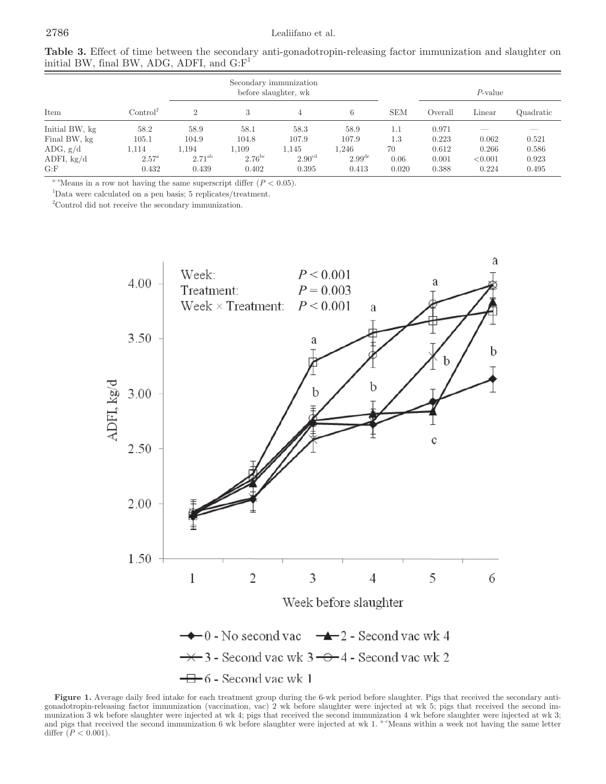| $\mu$ and $\mu$ , $\mu$ , $\mu$ and $\mu$ , $\mu$ , $\mu$ , $\mu$ , $\mu$ , $\mu$ , $\mu$ , $\mu$ , $\mu$ , $\mu$ , $\mu$ , $\mu$ , $\mu$ , $\mu$ , $\mu$ , $\mu$ , $\mu$ , $\mu$ , $\mu$ , $\mu$ , $\mu$ , $\mu$ , $\mu$ , $\mu$ , $\mu$ , $\mu$ , $\mu$ , $\mu$ , $\mu$ , $\mu$ , $\mu$ , $\mu$ , |                      |             |                                                |                    |                    |            |         |         |           |  |
|-----------------------------------------------------------------------------------------------------------------------------------------------------------------------------------------------------------------------------------------------------------------------------------------------------|----------------------|-------------|------------------------------------------------|--------------------|--------------------|------------|---------|---------|-----------|--|
|                                                                                                                                                                                                                                                                                                     |                      |             | Secondary immunization<br>before slaughter, wk |                    | $P$ -value         |            |         |         |           |  |
| Item                                                                                                                                                                                                                                                                                                | Control <sup>2</sup> |             |                                                |                    | 6                  | <b>SEM</b> | Overall | Linear  | Quadratic |  |
| Initial BW, kg                                                                                                                                                                                                                                                                                      | 58.2                 | 58.9        | 58.1                                           | 58.3               | 58.9               | 1.1        | 0.971   |         |           |  |
| Final BW, kg                                                                                                                                                                                                                                                                                        | 105.1                | 104.9       | 104.8                                          | 107.9              | 107.9              | $1.3\,$    | 0.223   | 0.062   | 0.521     |  |
| ADG, $g/d$                                                                                                                                                                                                                                                                                          | 1,114                | 1,194       | 1.109                                          | 1.145              | 1.246              | 70         | 0.612   | 0.266   | 0.586     |  |
| ADFI, $kg/d$                                                                                                                                                                                                                                                                                        | $2.57^{\mathrm{a}}$  | $2.71^{ab}$ | $2.76^{\rm bc}$                                | 2.90 <sup>cd</sup> | $2.99^{\text{de}}$ | 0.06       | 0.001   | < 0.001 | 0.923     |  |
| G: F                                                                                                                                                                                                                                                                                                | 0.432                | 0.439       | 0.402                                          | 0.395              | 0.413              | 0.020      | 0.388   | 0.224   | 0.495     |  |

**Table 3.** Effect of time between the secondary anti-gonadotropin-releasing factor immunization and slaughter on initial BW, final BW, ADG, ADFI, and  $\mathbf{G}\cdot\mathbf{F}^1$ 

<sup>a–e</sup>Means in a row not having the same superscript differ  $(P < 0.05)$ .

1 Data were calculated on a pen basis; 5 replicates/treatment.

2 Control did not receive the secondary immunization.



**Figure 1.** Average daily feed intake for each treatment group during the 6-wk period before slaughter. Pigs that received the secondary antigonadotropin-releasing factor immunization (vaccination, vac) 2 wk before slaughter were injected at wk 5; pigs that received the second immunization 3 wk before slaughter were injected at wk 4; pigs that received the second immunization 4 wk before slaughter were injected at wk 3; and pigs that received the second immunization 6 wk before slaughter were injected at wk 1. <sup>a-c</sup>Means within a week not having the same letter differ  $(P < 0.001)$ .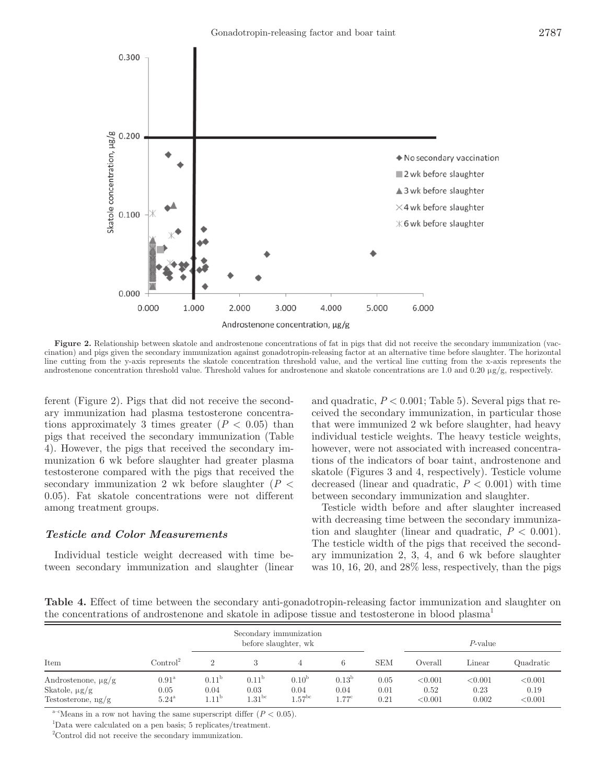

Figure 2. Relationship between skatole and androstenone concentrations of fat in pigs that did not receive the secondary immunization (vaccination) and pigs given the secondary immunization against gonadotropin-releasing factor at an alternative time before slaughter. The horizontal line cutting from the y-axis represents the skatole concentration threshold value, and the vertical line cutting from the x-axis represents the androstenone concentration threshold value. Threshold values for androstenone and skatole concentrations are 1.0 and 0.20 µg/g, respectively.

ferent (Figure 2). Pigs that did not receive the secondary immunization had plasma testosterone concentrations approximately 3 times greater  $(P < 0.05)$  than pigs that received the secondary immunization (Table 4). However, the pigs that received the secondary immunization 6 wk before slaughter had greater plasma testosterone compared with the pigs that received the secondary immunization 2 wk before slaughter (*P* < 0.05). Fat skatole concentrations were not different among treatment groups.

## *Testicle and Color Measurements*

Individual testicle weight decreased with time between secondary immunization and slaughter (linear and quadratic,  $P < 0.001$ ; Table 5). Several pigs that received the secondary immunization, in particular those that were immunized 2 wk before slaughter, had heavy individual testicle weights. The heavy testicle weights, however, were not associated with increased concentrations of the indicators of boar taint, androstenone and skatole (Figures 3 and 4, respectively). Testicle volume decreased (linear and quadratic,  $P < 0.001$ ) with time between secondary immunization and slaughter.

Testicle width before and after slaughter increased with decreasing time between the secondary immunization and slaughter (linear and quadratic,  $P < 0.001$ ). The testicle width of the pigs that received the secondary immunization 2, 3, 4, and 6 wk before slaughter was 10, 16, 20, and 28% less, respectively, than the pigs

**Table 4.** Effect of time between the secondary anti-gonadotropin-releasing factor immunization and slaughter on the concentrations of androstenone and skatole in adipose tissue and testosterone in blood plasma<sup>1</sup>

|                                                                       |                                               | Secondary immunization<br>before slaughter, wk |                                          |                                              |                                             |                      |                            | P-value                  |                            |
|-----------------------------------------------------------------------|-----------------------------------------------|------------------------------------------------|------------------------------------------|----------------------------------------------|---------------------------------------------|----------------------|----------------------------|--------------------------|----------------------------|
| Item                                                                  | $\mathrm{Control}^2$                          |                                                |                                          |                                              | 6                                           | <b>SEM</b>           | Overall                    | Linear                   | Quadratic                  |
| Androstenone, $\mu$ g/g<br>Skatole, $\mu$ g/g<br>Testosterone, $ng/g$ | $0.91^{\rm a}$<br>0.05<br>$5.24$ <sup>a</sup> | 0.11 <sup>b</sup><br>0.04<br>$1.11^{\rm o}$    | 0.11 <sup>b</sup><br>0.03<br>$1.31^{bc}$ | 0.10 <sup>b</sup><br>0.04<br>$1.57^{\rm bc}$ | 0.13 <sup>b</sup><br>0.04<br>$1.77^{\circ}$ | 0.05<br>0.01<br>0.21 | < 0.001<br>0.52<br>< 0.001 | < 0.001<br>0.23<br>0.002 | < 0.001<br>0.19<br>< 0.001 |

<sup>a-c</sup>Means in a row not having the same superscript differ  $(P < 0.05)$ .

1 Data were calculated on a pen basis; 5 replicates/treatment.

2 Control did not receive the secondary immunization.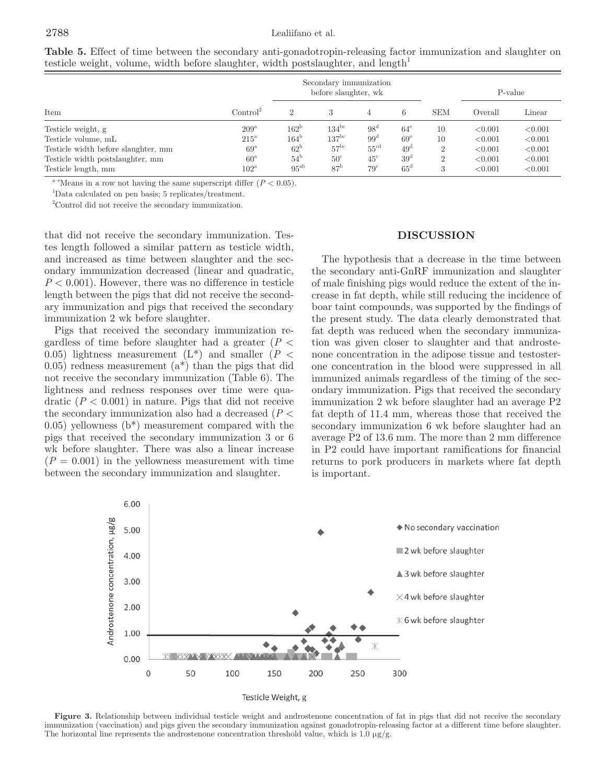|                                     |                      |               | Secondary immunization<br>before slaughter, wk |                  |                 | P-value        |         |         |
|-------------------------------------|----------------------|---------------|------------------------------------------------|------------------|-----------------|----------------|---------|---------|
| Item                                | Control <sup>2</sup> |               |                                                |                  | 6               | <b>SEM</b>     | Overall | Linear  |
| Testicle weight, g                  | $209^{\rm a}$        | $162^{\rm b}$ | $134^{\rm bc}$                                 | 98 <sup>d</sup>  | $64^{\circ}$    | 10             | < 0.001 | < 0.001 |
| Testicle volume, mL                 | $215^{\circ}$        | $164^{\circ}$ | $137^{\rm bc}$                                 | $99^{\rm d}$     | 69 <sup>e</sup> | 10             | < 0.001 | < 0.001 |
| Testicle width before slaughter, mm | $69^{\rm a}$         | $62^{\rm b}$  | 57 <sup>bc</sup>                               | $55^{\text{cd}}$ | 49 <sup>d</sup> | 2              | < 0.001 | < 0.001 |
| Testicle width postslaughter, mm    | $60^{\circ}$         | $54^{\circ}$  | $50^{\circ}$                                   | $45^{\circ}$     | 39 <sup>d</sup> | $\overline{2}$ | < 0.001 | < 0.001 |
| Testicle length, mm                 | $102^{\rm a}$        | $95^{ab}$     | 87 <sup>b</sup>                                | $79^{\circ}$     | $65^{\circ}$    | 3              | < 0.001 | < 0.001 |

**Table 5.** Effect of time between the secondary anti-gonadotropin-releasing factor immunization and slaughter on testicle weight, volume, width before slaughter, width postslaughter, and length<sup>1</sup>

<sup>a–e</sup>Means in a row not having the same superscript differ  $(P < 0.05)$ .

1 Data calculated on pen basis; 5 replicates/treatment.

2 Control did not receive the secondary immunization.

that did not receive the secondary immunization. Testes length followed a similar pattern as testicle width, and increased as time between slaughter and the secondary immunization decreased (linear and quadratic,  $P < 0.001$ ). However, there was no difference in testicle length between the pigs that did not receive the secondary immunization and pigs that received the secondary immunization 2 wk before slaughter.

Pigs that received the secondary immunization regardless of time before slaughter had a greater (*P* < 0.05) lightness measurement  $(L^*)$  and smaller  $(P <$ 0.05) redness measurement  $(a^*)$  than the pigs that did not receive the secondary immunization (Table 6). The lightness and redness responses over time were quadratic  $(P < 0.001)$  in nature. Pigs that did not receive the secondary immunization also had a decreased (*P* <  $(0.05)$  yellowness  $(b^*)$  measurement compared with the pigs that received the secondary immunization 3 or 6 wk before slaughter. There was also a linear increase  $(P = 0.001)$  in the yellowness measurement with time between the secondary immunization and slaughter.

#### **DISCUSSION**

The hypothesis that a decrease in the time between the secondary anti-GnRF immunization and slaughter of male finishing pigs would reduce the extent of the increase in fat depth, while still reducing the incidence of boar taint compounds, was supported by the findings of the present study. The data clearly demonstrated that fat depth was reduced when the secondary immunization was given closer to slaughter and that androstenone concentration in the adipose tissue and testosterone concentration in the blood were suppressed in all immunized animals regardless of the timing of the secondary immunization. Pigs that received the secondary immunization 2 wk before slaughter had an average P2 fat depth of 11.4 mm, whereas those that received the secondary immunization 6 wk before slaughter had an average P2 of 13.6 mm. The more than 2 mm difference in P2 could have important ramifications for financial returns to pork producers in markets where fat depth is important.



Figure 3. Relationship between individual testicle weight and androstenone concentration of fat in pigs that did not receive the secondary immunization (vaccination) and pigs given the secondary immunization against gonadotropin-releasing factor at a different time before slaughter. The horizontal line represents the androstenone concentration threshold value, which is  $1.0 \mu g/g$ .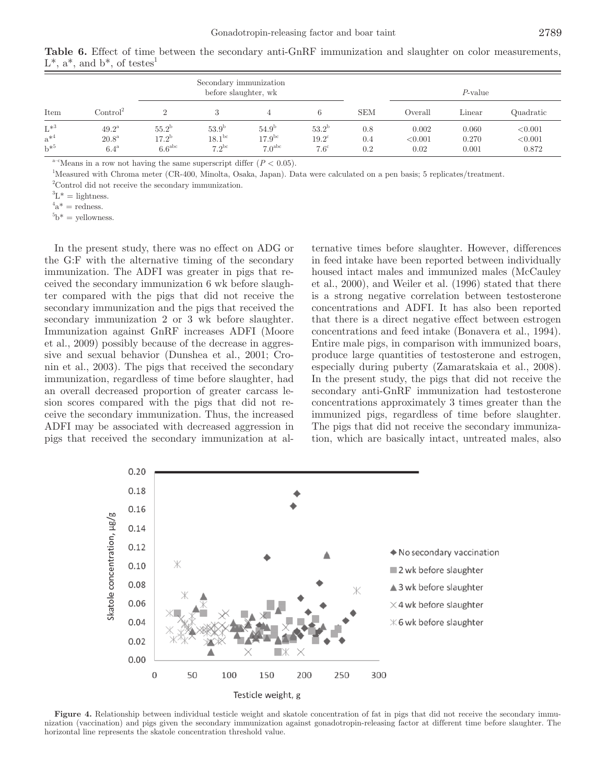|                                  |                                                        |                                                     | Secondary immunization<br>before slaughter, wk     |                                                 |                                                   |                   | $P$ -value               |                         |                             |
|----------------------------------|--------------------------------------------------------|-----------------------------------------------------|----------------------------------------------------|-------------------------------------------------|---------------------------------------------------|-------------------|--------------------------|-------------------------|-----------------------------|
| Item                             | Control <sup>2</sup>                                   |                                                     |                                                    |                                                 |                                                   | <b>SEM</b>        | Overall                  | Linear                  | Quadratic                   |
| $L^{*3}$<br>$a^{*4}$<br>$h^{*5}$ | $49.2^{\rm a}$<br>$20.8^{\rm a}$<br>$6.4^{\mathrm{a}}$ | $55.2^{\circ}$<br>$17.2^{\rm b}$<br>$6.6^{\rm abc}$ | 53.9 <sup>b</sup><br>$18.1^{\rm bc}$<br>$7.2^{bc}$ | $54.9^{b}$<br>$17.9^{bc}$<br>7.0 <sup>abc</sup> | $53.2^{\rm b}$<br>$19.2^{\circ}$<br>$7.6^{\circ}$ | 0.8<br>0.4<br>0.2 | 0.002<br>< 0.001<br>0.02 | 0.060<br>0.270<br>0.001 | < 0.001<br>< 0.001<br>0.872 |

**Table 6.** Effect of time between the secondary anti-GnRF immunization and slaughter on color measurements,  $L^*$ ,  $a^*$ , and  $b^*$ , of testes<sup>1</sup>

 $a^{-c}$ Means in a row not having the same superscript differ  $(P < 0.05)$ .

1 Measured with Chroma meter (CR-400, Minolta, Osaka, Japan). Data were calculated on a pen basis; 5 replicates/treatment.

2 Control did not receive the secondary immunization.

 ${}^{3}L^*$  = lightness.

 $a^*$  = redness.

 $5b^*$  = yellowness.

In the present study, there was no effect on ADG or the G:F with the alternative timing of the secondary immunization. The ADFI was greater in pigs that received the secondary immunization 6 wk before slaughter compared with the pigs that did not receive the secondary immunization and the pigs that received the secondary immunization 2 or 3 wk before slaughter. Immunization against GnRF increases ADFI (Moore et al., 2009) possibly because of the decrease in aggressive and sexual behavior (Dunshea et al., 2001; Cronin et al., 2003). The pigs that received the secondary immunization, regardless of time before slaughter, had an overall decreased proportion of greater carcass lesion scores compared with the pigs that did not receive the secondary immunization. Thus, the increased ADFI may be associated with decreased aggression in pigs that received the secondary immunization at alternative times before slaughter. However, differences in feed intake have been reported between individually housed intact males and immunized males (McCauley et al., 2000), and Weiler et al. (1996) stated that there is a strong negative correlation between testosterone concentrations and ADFI. It has also been reported that there is a direct negative effect between estrogen concentrations and feed intake (Bonavera et al., 1994). Entire male pigs, in comparison with immunized boars, produce large quantities of testosterone and estrogen, especially during puberty (Zamaratskaia et al., 2008). In the present study, the pigs that did not receive the secondary anti-GnRF immunization had testosterone concentrations approximately 3 times greater than the immunized pigs, regardless of time before slaughter. The pigs that did not receive the secondary immunization, which are basically intact, untreated males, also



Figure 4. Relationship between individual testicle weight and skatole concentration of fat in pigs that did not receive the secondary immunization (vaccination) and pigs given the secondary immunization against gonadotropin-releasing factor at different time before slaughter. The horizontal line represents the skatole concentration threshold value.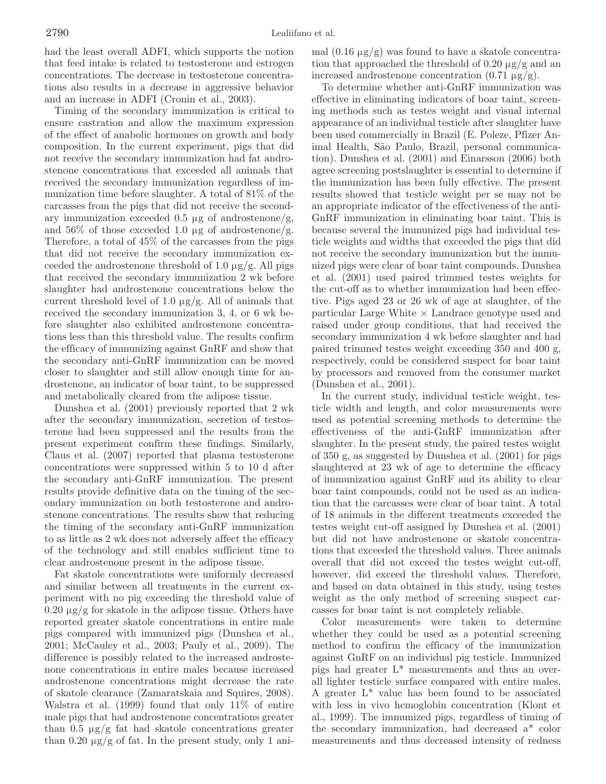had the least overall ADFI, which supports the notion that feed intake is related to testosterone and estrogen concentrations. The decrease in testosterone concentrations also results in a decrease in aggressive behavior and an increase in ADFI (Cronin et al., 2003).

Timing of the secondary immunization is critical to ensure castration and allow the maximum expression of the effect of anabolic hormones on growth and body composition. In the current experiment, pigs that did not receive the secondary immunization had fat androstenone concentrations that exceeded all animals that received the secondary immunization regardless of immunization time before slaughter. A total of 81% of the carcasses from the pigs that did not receive the secondary immunization exceeded  $0.5 \mu$ g of androstenone/g, and 56\% of those exceeded 1.0  $\mu$ g of androstenone/g. Therefore, a total of 45% of the carcasses from the pigs that did not receive the secondary immunization exceeded the androstenone threshold of 1.0  $\mu$ g/g. All pigs that received the secondary immunization 2 wk before slaughter had androstenone concentrations below the current threshold level of 1.0  $\mu$ g/g. All of animals that received the secondary immunization 3, 4, or 6 wk before slaughter also exhibited androstenone concentrations less than this threshold value. The results confirm the efficacy of immunizing against GnRF and show that the secondary anti-GnRF immunization can be moved closer to slaughter and still allow enough time for androstenone, an indicator of boar taint, to be suppressed and metabolically cleared from the adipose tissue.

Dunshea et al. (2001) previously reported that 2 wk after the secondary immunization, secretion of testosterone had been suppressed and the results from the present experiment confirm these findings. Similarly, Claus et al. (2007) reported that plasma testosterone concentrations were suppressed within 5 to 10 d after the secondary anti-GnRF immunization. The present results provide definitive data on the timing of the secondary immunization on both testosterone and androstenone concentrations. The results show that reducing the timing of the secondary anti-GnRF immunization to as little as 2 wk does not adversely affect the efficacy of the technology and still enables sufficient time to clear androstenone present in the adipose tissue.

Fat skatole concentrations were uniformly decreased and similar between all treatments in the current experiment with no pig exceeding the threshold value of  $0.20 \mu$ g/g for skatole in the adipose tissue. Others have reported greater skatole concentrations in entire male pigs compared with immunized pigs (Dunshea et al., 2001; McCauley et al., 2003; Pauly et al., 2009). The difference is possibly related to the increased androstenone concentrations in entire males because increased androstenone concentrations might decrease the rate of skatole clearance (Zamaratskaia and Squires, 2008). Walstra et al. (1999) found that only 11% of entire male pigs that had androstenone concentrations greater than  $0.5 \mu g/g$  fat had skatole concentrations greater than  $0.20 \mu g/g$  of fat. In the present study, only 1 animal  $(0.16 \mu g/g)$  was found to have a skatole concentration that approached the threshold of 0.20  $\mu$ g/g and an increased androstenone concentration  $(0.71 \mu g/g)$ .

To determine whether anti-GnRF immunization was effective in eliminating indicators of boar taint, screening methods such as testes weight and visual internal appearance of an individual testicle after slaughter have been used commercially in Brazil (E. Poleze, Pfizer Animal Health, São Paulo, Brazil, personal communication). Dunshea et al. (2001) and Einarsson (2006) both agree screening postslaughter is essential to determine if the immunization has been fully effective. The present results showed that testicle weight per se may not be an appropriate indicator of the effectiveness of the anti-GnRF immunization in eliminating boar taint. This is because several the immunized pigs had individual testicle weights and widths that exceeded the pigs that did not receive the secondary immunization but the immunized pigs were clear of boar taint compounds. Dunshea et al. (2001) used paired trimmed testes weights for the cut-off as to whether immunization had been effective. Pigs aged 23 or 26 wk of age at slaughter, of the  $particular Large White \times Landrace genotype used and$ raised under group conditions, that had received the secondary immunization 4 wk before slaughter and had paired trimmed testes weight exceeding 350 and 400 g, respectively, could be considered suspect for boar taint by processors and removed from the consumer market (Dunshea et al., 2001).

In the current study, individual testicle weight, testicle width and length, and color measurements were used as potential screening methods to determine the effectiveness of the anti-GnRF immunization after slaughter. In the present study, the paired testes weight of 350 g, as suggested by Dunshea et al. (2001) for pigs slaughtered at 23 wk of age to determine the efficacy of immunization against GnRF and its ability to clear boar taint compounds, could not be used as an indication that the carcasses were clear of boar taint. A total of 18 animals in the different treatments exceeded the testes weight cut-off assigned by Dunshea et al. (2001) but did not have androstenone or skatole concentrations that exceeded the threshold values. Three animals overall that did not exceed the testes weight cut-off, however, did exceed the threshold values. Therefore, and based on data obtained in this study, using testes weight as the only method of screening suspect carcasses for boar taint is not completely reliable.

Color measurements were taken to determine whether they could be used as a potential screening method to confirm the efficacy of the immunization against GnRF on an individual pig testicle. Immunized pigs had greater L\* measurements and thus an overall lighter testicle surface compared with entire males. A greater L\* value has been found to be associated with less in vivo hemoglobin concentration (Klont et al., 1999). The immunized pigs, regardless of timing of the secondary immunization, had decreased a\* color measurements and thus decreased intensity of redness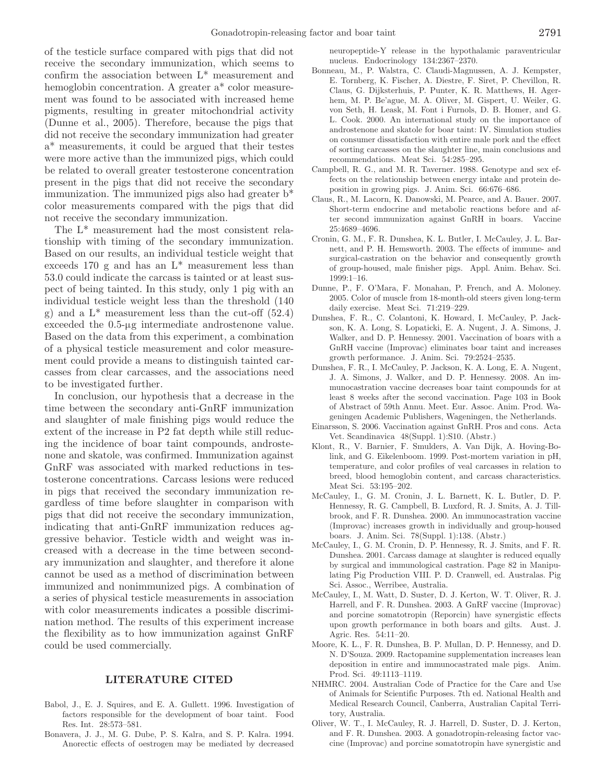of the testicle surface compared with pigs that did not receive the secondary immunization, which seems to confirm the association between L\* measurement and hemoglobin concentration. A greater a\* color measurement was found to be associated with increased heme pigments, resulting in greater mitochondrial activity (Dunne et al., 2005). Therefore, because the pigs that did not receive the secondary immunization had greater a\* measurements, it could be argued that their testes were more active than the immunized pigs, which could be related to overall greater testosterone concentration present in the pigs that did not receive the secondary immunization. The immunized pigs also had greater b\* color measurements compared with the pigs that did not receive the secondary immunization.

The L\* measurement had the most consistent relationship with timing of the secondary immunization. Based on our results, an individual testicle weight that exceeds 170 g and has an  $L^*$  measurement less than 53.0 could indicate the carcass is tainted or at least suspect of being tainted. In this study, only 1 pig with an individual testicle weight less than the threshold (140 g) and a  $L^*$  measurement less than the cut-off  $(52.4)$ exceeded the 0.5-µg intermediate androstenone value. Based on the data from this experiment, a combination of a physical testicle measurement and color measurement could provide a means to distinguish tainted carcasses from clear carcasses, and the associations need to be investigated further.

In conclusion, our hypothesis that a decrease in the time between the secondary anti-GnRF immunization and slaughter of male finishing pigs would reduce the extent of the increase in P2 fat depth while still reducing the incidence of boar taint compounds, androstenone and skatole, was confirmed. Immunization against GnRF was associated with marked reductions in testosterone concentrations. Carcass lesions were reduced in pigs that received the secondary immunization regardless of time before slaughter in comparison with pigs that did not receive the secondary immunization, indicating that anti-GnRF immunization reduces aggressive behavior. Testicle width and weight was increased with a decrease in the time between secondary immunization and slaughter, and therefore it alone cannot be used as a method of discrimination between immunized and nonimmunized pigs. A combination of a series of physical testicle measurements in association with color measurements indicates a possible discrimination method. The results of this experiment increase the flexibility as to how immunization against GnRF could be used commercially.

## **LITERATURE CITED**

- Babol, J., E. J. Squires, and E. A. Gullett. 1996. Investigation of factors responsible for the development of boar taint. Food Res. Int. 28:573–581.
- Bonavera, J. J., M. G. Dube, P. S. Kalra, and S. P. Kalra. 1994. Anorectic effects of oestrogen may be mediated by decreased

neuropeptide-Y release in the hypothalamic paraventricular nucleus. Endocrinology 134:2367–2370.

- Bonneau, M., P. Walstra, C. Claudi-Magnussen, A. J. Kempster, E. Tornberg, K. Fischer, A. Diestre, F. Siret, P. Chevillon, R. Claus, G. Dijksterhuis, P. Punter, K. R. Matthews, H. Agerhem, M. P. Be'ague, M. A. Oliver, M. Gispert, U. Weiler, G. von Seth, H. Leask, M. Font i Furnols, D. B. Homer, and G. L. Cook. 2000. An international study on the importance of androstenone and skatole for boar taint: IV. Simulation studies on consumer dissatisfaction with entire male pork and the effect of sorting carcasses on the slaughter line, main conclusions and recommendations. Meat Sci. 54:285–295.
- Campbell, R. G., and M. R. Taverner. 1988. Genotype and sex effects on the relationship between energy intake and protein deposition in growing pigs. J. Anim. Sci. 66:676–686.
- Claus, R., M. Lacorn, K. Danowski, M. Pearce, and A. Bauer. 2007. Short-term endocrine and metabolic reactions before and after second immunization against GnRH in boars. Vaccine 25:4689–4696.
- Cronin, G. M., F. R. Dunshea, K. L. Butler, I. McCauley, J. L. Barnett, and P. H. Hemsworth. 2003. The effects of immune- and surgical-castration on the behavior and consequently growth of group-housed, male finisher pigs. Appl. Anim. Behav. Sci. 1999:1–16.
- Dunne, P., F. O'Mara, F. Monahan, P. French, and A. Moloney. 2005. Color of muscle from 18-month-old steers given long-term daily exercise. Meat Sci. 71:219–229.
- Dunshea, F. R., C. Colantoni, K. Howard, I. McCauley, P. Jackson, K. A. Long, S. Lopaticki, E. A. Nugent, J. A. Simons, J. Walker, and D. P. Hennessy. 2001. Vaccination of boars with a GnRH vaccine (Improvac) eliminates boar taint and increases growth performance. J. Anim. Sci. 79:2524–2535.
- Dunshea, F. R., I. McCauley, P. Jackson, K. A. Long, E. A. Nugent, J. A. Simons, J. Walker, and D. P. Hennessy. 2008. An immunocastration vaccine decreases boar taint compounds for at least 8 weeks after the second vaccination. Page 103 in Book of Abstract of 59th Annu. Meet. Eur. Assoc. Anim. Prod. Wageningen Academic Publishers, Wageningen, the Netherlands.
- Einarsson, S. 2006. Vaccination against GnRH. Pros and cons. Acta Vet. Scandinavica 48(Suppl. 1):S10. (Abstr.)
- Klont, R., V. Barnier, F. Smulders, A. Van Dijk, A. Hoving-Bolink, and G. Eikelenboom. 1999. Post-mortem variation in pH, temperature, and color profiles of veal carcasses in relation to breed, blood hemoglobin content, and carcass characteristics. Meat Sci. 53:195–202.
- McCauley, I., G. M. Cronin, J. L. Barnett, K. L. Butler, D. P. Hennessy, R. G. Campbell, B. Luxford, R. J. Smits, A. J. Tillbrook, and F. R. Dunshea. 2000. An immunocastration vaccine (Improvac) increases growth in individually and group-housed boars. J. Anim. Sci. 78(Suppl. 1):138. (Abstr.)
- McCauley, I., G. M. Cronin, D. P. Hennessy, R. J. Smits, and F. R. Dunshea. 2001. Carcass damage at slaughter is reduced equally by surgical and immunological castration. Page 82 in Manipulating Pig Production VIII. P. D. Cranwell, ed. Australas. Pig Sci. Assoc., Werribee, Australia.
- McCauley, I., M. Watt, D. Suster, D. J. Kerton, W. T. Oliver, R. J. Harrell, and F. R. Dunshea. 2003. A GnRF vaccine (Improvac) and porcine somatotropin (Reporcin) have synergistic effects upon growth performance in both boars and gilts. Aust. J. Agric. Res. 54:11–20.
- Moore, K. L., F. R. Dunshea, B. P. Mullan, D. P. Hennessy, and D. N. D'Souza. 2009. Ractopamine supplementation increases lean deposition in entire and immunocastrated male pigs. Anim. Prod. Sci. 49:1113–1119.
- NHMRC. 2004. Australian Code of Practice for the Care and Use of Animals for Scientific Purposes. 7th ed. National Health and Medical Research Council, Canberra, Australian Capital Territory, Australia.
- Oliver, W. T., I. McCauley, R. J. Harrell, D. Suster, D. J. Kerton, and F. R. Dunshea. 2003. A gonadotropin-releasing factor vaccine (Improvac) and porcine somatotropin have synergistic and